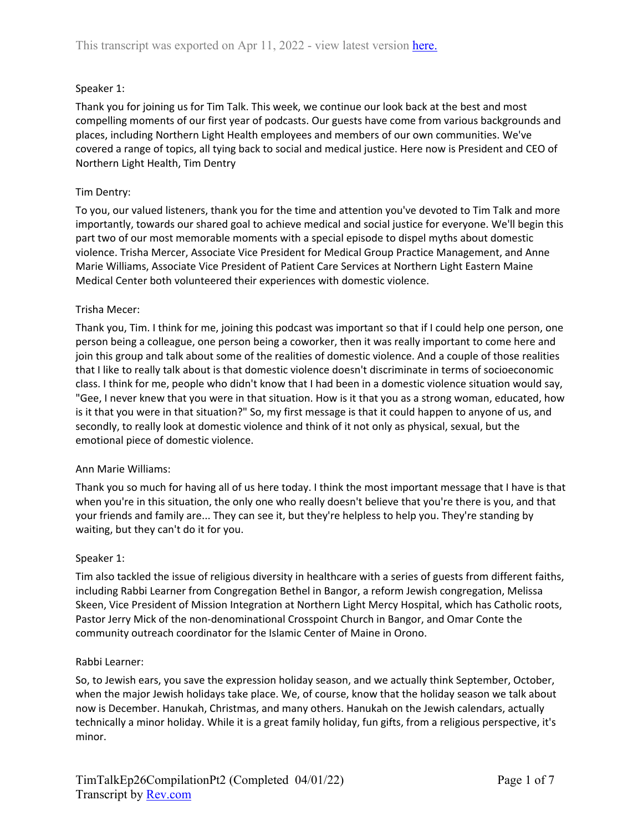# Speaker 1:

Thank you for joining us for Tim Talk. This week, we continue our look back at the best and most compelling moments of our first year of podcasts. Our guests have come from various backgrounds and places, including Northern Light Health employees and members of our own communities. We've covered a range of topics, all tying back to social and medical justice. Here now is President and CEO of Northern Light Health, Tim Dentry

## Tim Dentry:

To you, our valued listeners, thank you for the time and attention you've devoted to Tim Talk and more importantly, towards our shared goal to achieve medical and social justice for everyone. We'll begin this part two of our most memorable moments with a special episode to dispel myths about domestic violence. Trisha Mercer, Associate Vice President for Medical Group Practice Management, and Anne Marie Williams, Associate Vice President of Patient Care Services at Northern Light Eastern Maine Medical Center both volunteered their experiences with domestic violence.

## Trisha Mecer:

Thank you, Tim. I think for me, joining this podcast was important so that if I could help one person, one person being a colleague, one person being a coworker, then it was really important to come here and join this group and talk about some of the realities of domestic violence. And a couple of those realities that I like to really talk about is that domestic violence doesn't discriminate in terms of socioeconomic class. I think for me, people who didn't know that I had been in a domestic violence situation would say, "Gee, I never knew that you were in that situation. How is it that you as a strong woman, educated, how is it that you were in that situation?" So, my first message is that it could happen to anyone of us, and secondly, to really look at domestic violence and think of it not only as physical, sexual, but the emotional piece of domestic violence.

#### Ann Marie Williams:

Thank you so much for having all of us here today. I think the most important message that I have is that when you're in this situation, the only one who really doesn't believe that you're there is you, and that your friends and family are... They can see it, but they're helpless to help you. They're standing by waiting, but they can't do it for you.

#### Speaker 1:

Tim also tackled the issue of religious diversity in healthcare with a series of guests from different faiths, including Rabbi Learner from Congregation Bethel in Bangor, a reform Jewish congregation, Melissa Skeen, Vice President of Mission Integration at Northern Light Mercy Hospital, which has Catholic roots, Pastor Jerry Mick of the non-denominational Crosspoint Church in Bangor, and Omar Conte the community outreach coordinator for the Islamic Center of Maine in Orono.

#### Rabbi Learner:

So, to Jewish ears, you save the expression holiday season, and we actually think September, October, when the major Jewish holidays take place. We, of course, know that the holiday season we talk about now is December. Hanukah, Christmas, and many others. Hanukah on the Jewish calendars, actually technically a minor holiday. While it is a great family holiday, fun gifts, from a religious perspective, it's minor.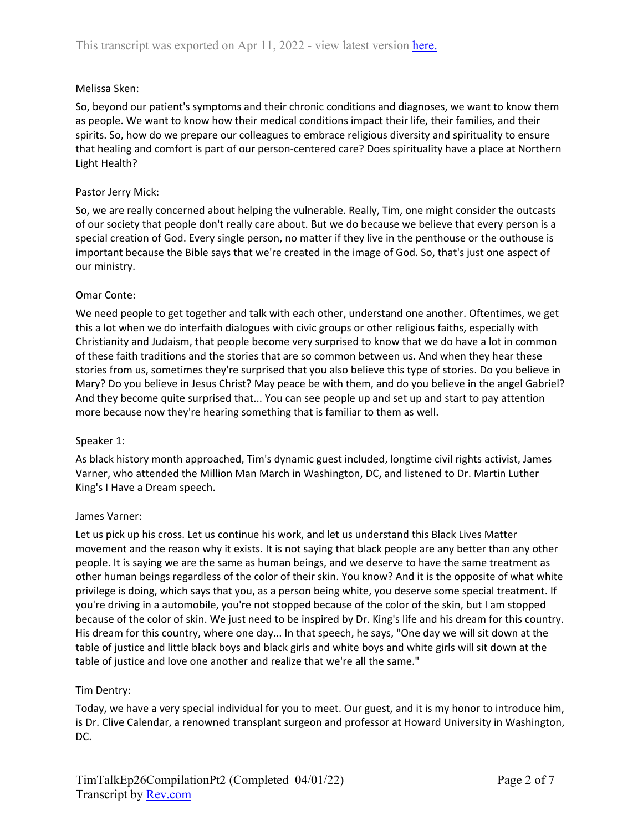## Melissa Sken:

So, beyond our patient's symptoms and their chronic conditions and diagnoses, we want to know them as people. We want to know how their medical conditions impact their life, their families, and their spirits. So, how do we prepare our colleagues to embrace religious diversity and spirituality to ensure that healing and comfort is part of our person-centered care? Does spirituality have a place at Northern Light Health?

### Pastor Jerry Mick:

So, we are really concerned about helping the vulnerable. Really, Tim, one might consider the outcasts of our society that people don't really care about. But we do because we believe that every person is a special creation of God. Every single person, no matter if they live in the penthouse or the outhouse is important because the Bible says that we're created in the image of God. So, that's just one aspect of our ministry.

#### Omar Conte:

We need people to get together and talk with each other, understand one another. Oftentimes, we get this a lot when we do interfaith dialogues with civic groups or other religious faiths, especially with Christianity and Judaism, that people become very surprised to know that we do have a lot in common of these faith traditions and the stories that are so common between us. And when they hear these stories from us, sometimes they're surprised that you also believe this type of stories. Do you believe in Mary? Do you believe in Jesus Christ? May peace be with them, and do you believe in the angel Gabriel? And they become quite surprised that... You can see people up and set up and start to pay attention more because now they're hearing something that is familiar to them as well.

#### Speaker 1:

As black history month approached, Tim's dynamic guest included, longtime civil rights activist, James Varner, who attended the Million Man March in Washington, DC, and listened to Dr. Martin Luther King's I Have a Dream speech.

#### James Varner:

Let us pick up his cross. Let us continue his work, and let us understand this Black Lives Matter movement and the reason why it exists. It is not saying that black people are any better than any other people. It is saying we are the same as human beings, and we deserve to have the same treatment as other human beings regardless of the color of their skin. You know? And it is the opposite of what white privilege is doing, which says that you, as a person being white, you deserve some special treatment. If you're driving in a automobile, you're not stopped because of the color of the skin, but I am stopped because of the color of skin. We just need to be inspired by Dr. King's life and his dream for this country. His dream for this country, where one day... In that speech, he says, "One day we will sit down at the table of justice and little black boys and black girls and white boys and white girls will sit down at the table of justice and love one another and realize that we're all the same."

# Tim Dentry:

Today, we have a very special individual for you to meet. Our guest, and it is my honor to introduce him, is Dr. Clive Calendar, a renowned transplant surgeon and professor at Howard University in Washington, DC.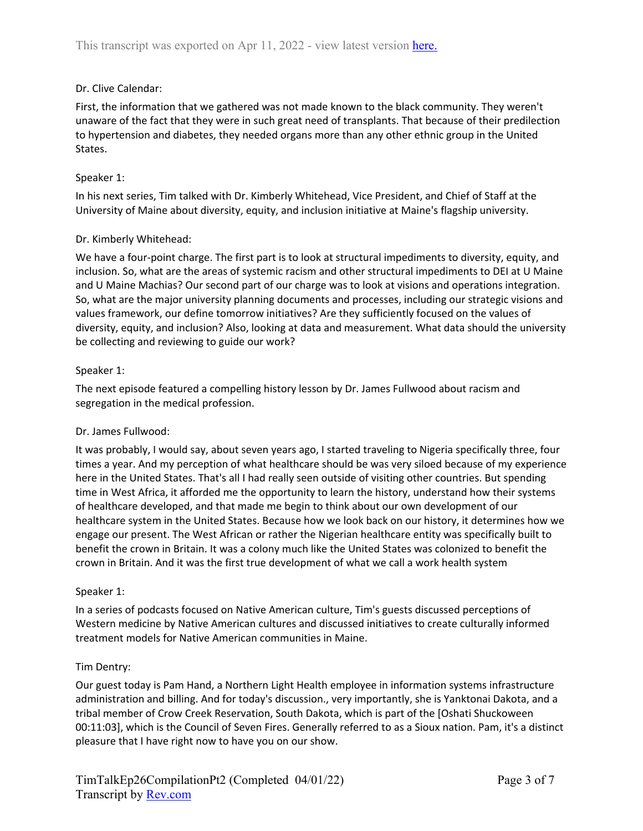# Dr. Clive Calendar:

First, the information that we gathered was not made known to the black community. They weren't unaware of the fact that they were in such great need of transplants. That because of their predilection to hypertension and diabetes, they needed organs more than any other ethnic group in the United States.

### Speaker 1:

In his next series, Tim talked with Dr. Kimberly Whitehead, Vice President, and Chief of Staff at the University of Maine about diversity, equity, and inclusion initiative at Maine's flagship university.

## Dr. Kimberly Whitehead:

We have a four-point charge. The first part is to look at structural impediments to diversity, equity, and inclusion. So, what are the areas of systemic racism and other structural impediments to DEI at U Maine and U Maine Machias? Our second part of our charge was to look at visions and operations integration. So, what are the major university planning documents and processes, including our strategic visions and values framework, our define tomorrow initiatives? Are they sufficiently focused on the values of diversity, equity, and inclusion? Also, looking at data and measurement. What data should the university be collecting and reviewing to guide our work?

## Speaker 1:

The next episode featured a compelling history lesson by Dr. James Fullwood about racism and segregation in the medical profession.

#### Dr. James Fullwood:

It was probably, I would say, about seven years ago, I started traveling to Nigeria specifically three, four times a year. And my perception of what healthcare should be was very siloed because of my experience here in the United States. That's all I had really seen outside of visiting other countries. But spending time in West Africa, it afforded me the opportunity to learn the history, understand how their systems of healthcare developed, and that made me begin to think about our own development of our healthcare system in the United States. Because how we look back on our history, it determines how we engage our present. The West African or rather the Nigerian healthcare entity was specifically built to benefit the crown in Britain. It was a colony much like the United States was colonized to benefit the crown in Britain. And it was the first true development of what we call a work health system

#### Speaker 1:

In a series of podcasts focused on Native American culture, Tim's guests discussed perceptions of Western medicine by Native American cultures and discussed initiatives to create culturally informed treatment models for Native American communities in Maine.

#### Tim Dentry:

Our guest today is Pam Hand, a Northern Light Health employee in information systems infrastructure administration and billing. And for today's discussion., very importantly, she is Yanktonai Dakota, and a tribal member of Crow Creek Reservation, South Dakota, which is part of the [Oshati Shuckoween 00:11:03], which is the Council of Seven Fires. Generally referred to as a Sioux nation. Pam, it's a distinct pleasure that I have right now to have you on our show.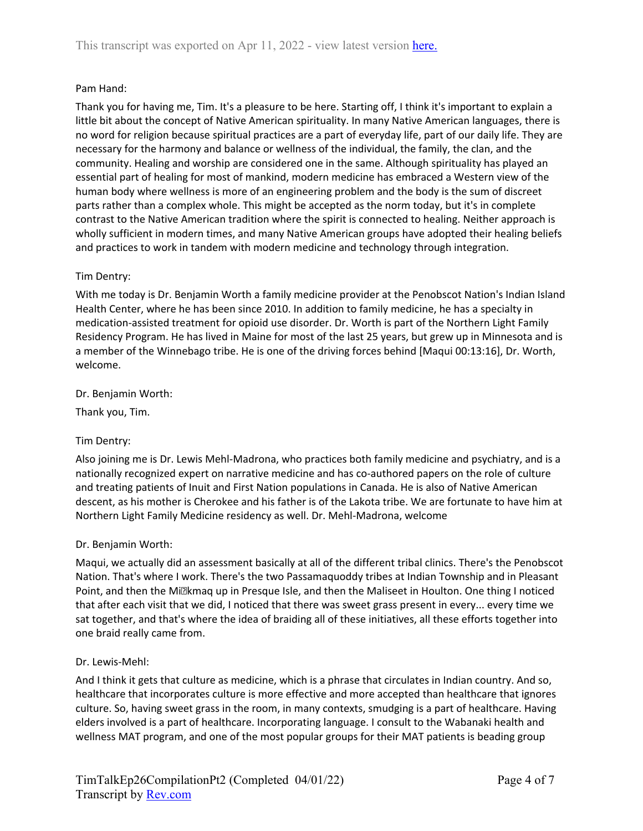## Pam Hand:

Thank you for having me, Tim. It's a pleasure to be here. Starting off, I think it's important to explain a little bit about the concept of Native American spirituality. In many Native American languages, there is no word for religion because spiritual practices are a part of everyday life, part of our daily life. They are necessary for the harmony and balance or wellness of the individual, the family, the clan, and the community. Healing and worship are considered one in the same. Although spirituality has played an essential part of healing for most of mankind, modern medicine has embraced a Western view of the human body where wellness is more of an engineering problem and the body is the sum of discreet parts rather than a complex whole. This might be accepted as the norm today, but it's in complete contrast to the Native American tradition where the spirit is connected to healing. Neither approach is wholly sufficient in modern times, and many Native American groups have adopted their healing beliefs and practices to work in tandem with modern medicine and technology through integration.

#### Tim Dentry:

With me today is Dr. Benjamin Worth a family medicine provider at the Penobscot Nation's Indian Island Health Center, where he has been since 2010. In addition to family medicine, he has a specialty in medication-assisted treatment for opioid use disorder. Dr. Worth is part of the Northern Light Family Residency Program. He has lived in Maine for most of the last 25 years, but grew up in Minnesota and is a member of the Winnebago tribe. He is one of the driving forces behind [Maqui 00:13:16], Dr. Worth, welcome.

#### Dr. Benjamin Worth:

Thank you, Tim.

#### Tim Dentry:

Also joining me is Dr. Lewis Mehl-Madrona, who practices both family medicine and psychiatry, and is a nationally recognized expert on narrative medicine and has co-authored papers on the role of culture and treating patients of Inuit and First Nation populations in Canada. He is also of Native American descent, as his mother is Cherokee and his father is of the Lakota tribe. We are fortunate to have him at Northern Light Family Medicine residency as well. Dr. Mehl-Madrona, welcome

#### Dr. Benjamin Worth:

Maqui, we actually did an assessment basically at all of the different tribal clinics. There's the Penobscot Nation. That's where I work. There's the two Passamaquoddy tribes at Indian Township and in Pleasant Point, and then the Mi<sup>n</sup>kmaq up in Presque Isle, and then the Maliseet in Houlton. One thing I noticed that after each visit that we did, I noticed that there was sweet grass present in every... every time we sat together, and that's where the idea of braiding all of these initiatives, all these efforts together into one braid really came from.

#### Dr. Lewis-Mehl:

And I think it gets that culture as medicine, which is a phrase that circulates in Indian country. And so, healthcare that incorporates culture is more effective and more accepted than healthcare that ignores culture. So, having sweet grass in the room, in many contexts, smudging is a part of healthcare. Having elders involved is a part of healthcare. Incorporating language. I consult to the Wabanaki health and wellness MAT program, and one of the most popular groups for their MAT patients is beading group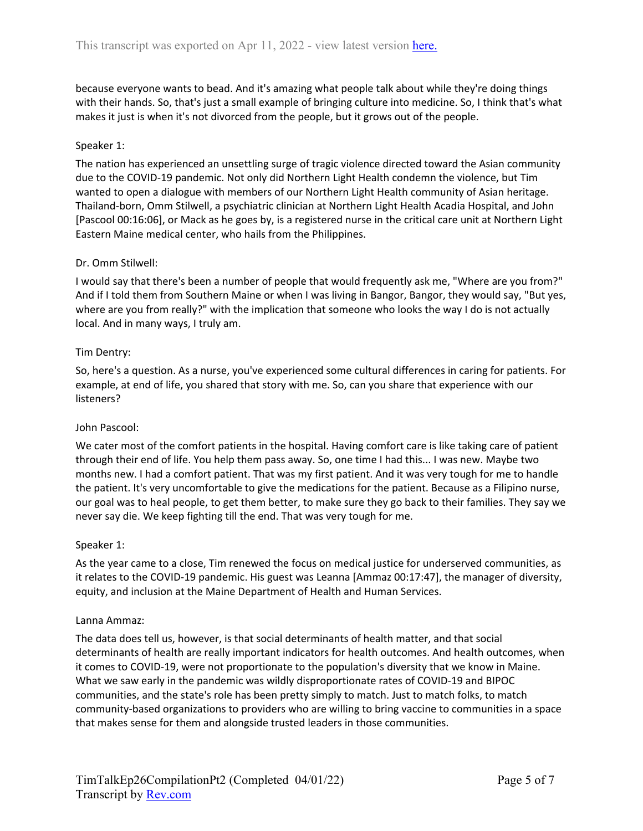because everyone wants to bead. And it's amazing what people talk about while they're doing things with their hands. So, that's just a small example of bringing culture into medicine. So, I think that's what makes it just is when it's not divorced from the people, but it grows out of the people.

## Speaker 1:

The nation has experienced an unsettling surge of tragic violence directed toward the Asian community due to the COVID-19 pandemic. Not only did Northern Light Health condemn the violence, but Tim wanted to open a dialogue with members of our Northern Light Health community of Asian heritage. Thailand-born, Omm Stilwell, a psychiatric clinician at Northern Light Health Acadia Hospital, and John [Pascool 00:16:06], or Mack as he goes by, is a registered nurse in the critical care unit at Northern Light Eastern Maine medical center, who hails from the Philippines.

## Dr. Omm Stilwell:

I would say that there's been a number of people that would frequently ask me, "Where are you from?" And if I told them from Southern Maine or when I was living in Bangor, Bangor, they would say, "But yes, where are you from really?" with the implication that someone who looks the way I do is not actually local. And in many ways, I truly am.

## Tim Dentry:

So, here's a question. As a nurse, you've experienced some cultural differences in caring for patients. For example, at end of life, you shared that story with me. So, can you share that experience with our listeners?

#### John Pascool:

We cater most of the comfort patients in the hospital. Having comfort care is like taking care of patient through their end of life. You help them pass away. So, one time I had this... I was new. Maybe two months new. I had a comfort patient. That was my first patient. And it was very tough for me to handle the patient. It's very uncomfortable to give the medications for the patient. Because as a Filipino nurse, our goal was to heal people, to get them better, to make sure they go back to their families. They say we never say die. We keep fighting till the end. That was very tough for me.

#### Speaker 1:

As the year came to a close, Tim renewed the focus on medical justice for underserved communities, as it relates to the COVID-19 pandemic. His guest was Leanna [Ammaz 00:17:47], the manager of diversity, equity, and inclusion at the Maine Department of Health and Human Services.

#### Lanna Ammaz:

The data does tell us, however, is that social determinants of health matter, and that social determinants of health are really important indicators for health outcomes. And health outcomes, when it comes to COVID-19, were not proportionate to the population's diversity that we know in Maine. What we saw early in the pandemic was wildly disproportionate rates of COVID-19 and BIPOC communities, and the state's role has been pretty simply to match. Just to match folks, to match community-based organizations to providers who are willing to bring vaccine to communities in a space that makes sense for them and alongside trusted leaders in those communities.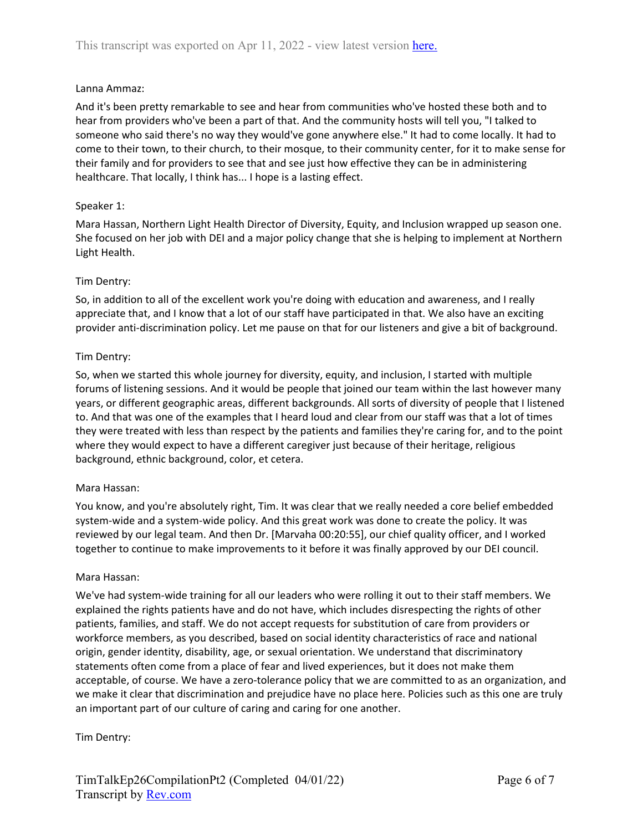## Lanna Ammaz:

And it's been pretty remarkable to see and hear from communities who've hosted these both and to hear from providers who've been a part of that. And the community hosts will tell you, "I talked to someone who said there's no way they would've gone anywhere else." It had to come locally. It had to come to their town, to their church, to their mosque, to their community center, for it to make sense for their family and for providers to see that and see just how effective they can be in administering healthcare. That locally, I think has... I hope is a lasting effect.

## Speaker 1:

Mara Hassan, Northern Light Health Director of Diversity, Equity, and Inclusion wrapped up season one. She focused on her job with DEI and a major policy change that she is helping to implement at Northern Light Health.

## Tim Dentry:

So, in addition to all of the excellent work you're doing with education and awareness, and I really appreciate that, and I know that a lot of our staff have participated in that. We also have an exciting provider anti-discrimination policy. Let me pause on that for our listeners and give a bit of background.

## Tim Dentry:

So, when we started this whole journey for diversity, equity, and inclusion, I started with multiple forums of listening sessions. And it would be people that joined our team within the last however many years, or different geographic areas, different backgrounds. All sorts of diversity of people that I listened to. And that was one of the examples that I heard loud and clear from our staff was that a lot of times they were treated with less than respect by the patients and families they're caring for, and to the point where they would expect to have a different caregiver just because of their heritage, religious background, ethnic background, color, et cetera.

#### Mara Hassan:

You know, and you're absolutely right, Tim. It was clear that we really needed a core belief embedded system-wide and a system-wide policy. And this great work was done to create the policy. It was reviewed by our legal team. And then Dr. [Marvaha 00:20:55], our chief quality officer, and I worked together to continue to make improvements to it before it was finally approved by our DEI council.

#### Mara Hassan:

We've had system-wide training for all our leaders who were rolling it out to their staff members. We explained the rights patients have and do not have, which includes disrespecting the rights of other patients, families, and staff. We do not accept requests for substitution of care from providers or workforce members, as you described, based on social identity characteristics of race and national origin, gender identity, disability, age, or sexual orientation. We understand that discriminatory statements often come from a place of fear and lived experiences, but it does not make them acceptable, of course. We have a zero-tolerance policy that we are committed to as an organization, and we make it clear that discrimination and prejudice have no place here. Policies such as this one are truly an important part of our culture of caring and caring for one another.

# Tim Dentry: